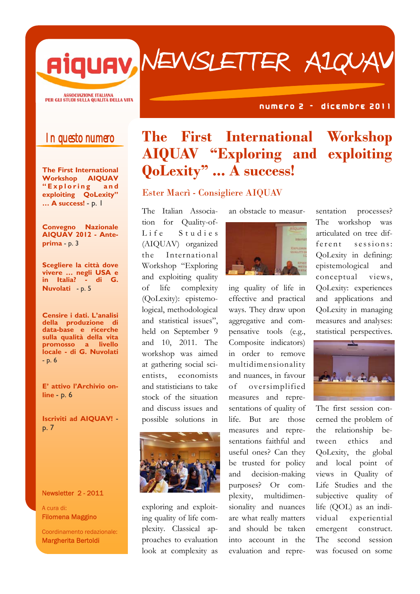Newsletter AIQUAV

ASSOCIAZIONE ITALIANA<br>PER GLI STUDI SULLA QUALITÀ DELLA VITA

#### N U M E ROO 2 - dicembre 2011

### In questo numero

**The First International Workshop AIQUAV " E x p l o r i n g a n d exploiting QoLexity" … A success!** - p. 1

**Convegno Nazionale AIQUAV 2012 - Anteprima** - p. 3

**Scegliere la città dove vivere … negli USA e in Italia? - di G. Nuvolati** - p. 5

**Censire i dati. L'analisi della produzione di data-base e ricerche sulla qualità della vita promosso a livello locale - di G. Nuvolati**  - p. 6

**E' attivo l'Archivio online** - p. 6

**Iscriviti ad AIQUAV!**  p. 7

Newsletter 2 - 2011

A cura di: Filomena Maggino

Coordinamento redazionale: Margherita Bertoldi

## **The First International Workshop AIQUAV "Exploring and exploiting QoLexity" ... A success!**

Ester Macrì - Consigliere AIQUAV

The Italian Association for Quality-of-Life Studies (AIQUAV) organized the International Workshop "Exploring and exploiting quality of life complexity (QoLexity): epistemological, methodological and statistical issues", held on September 9 and 10, 2011. The workshop was aimed at gathering social scientists, economists and statisticians to take stock of the situation and discuss issues and possible solutions in



exploring and exploiting quality of life complexity. Classical approaches to evaluation look at complexity as an obstacle to measur-



ing quality of life in effective and practical ways. They draw upon aggregative and compensative tools (e.g., Composite indicators) in order to remove multidimensionality and nuances, in favour of oversimplified measures and representations of quality of life. But are those measures and representations faithful and useful ones? Can they be trusted for policy and decision-making purposes? Or complexity, multidimensionality and nuances are what really matters and should be taken into account in the evaluation and representation processes? The workshop was articulated on tree different sessions: QoLexity in defining: epistemological and conceptual views, QoLexity: experiences and applications and QoLexity in managing measures and analyses: statistical perspectives.



The first session concerned the problem of the relationship between ethics and QoLexity, the global and local point of views in Quality of Life Studies and the subjective quality of life (QOL) as an individual experiential emergent construct. The second session was focused on some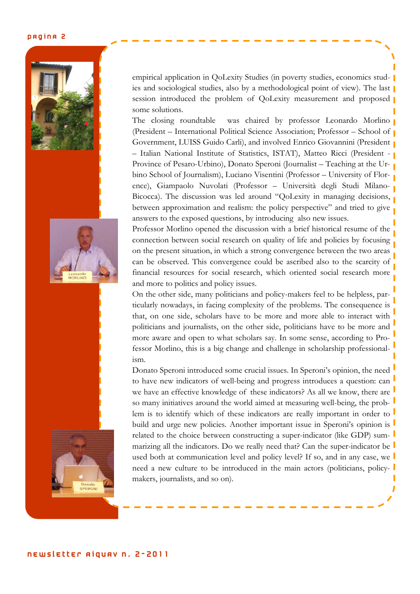#### PAGINA 2







empirical application in QoLexity Studies (in poverty studies, economics studies and sociological studies, also by a methodological point of view). The last session introduced the problem of QoLexity measurement and proposed some solutions.

The closing roundtable was chaired by professor Leonardo Morlino (President – International Political Science Association; Professor – School of Government, LUISS Guido Carli), and involved Enrico Giovannini (President – Italian National Institute of Statistics, ISTAT), Matteo Ricci (President - Province of Pesaro-Urbino), Donato Speroni (Journalist – Teaching at the Urbino School of Journalism), Luciano Visentini (Professor – University of Florence), Giampaolo Nuvolati (Professor – Università degli Studi Milano-Bicocca). The discussion was led around "QoLexity in managing decisions, between approximation and realism: the policy perspective" and tried to give answers to the exposed questions, by introducing also new issues.

Professor Morlino opened the discussion with a brief historical resume of the connection between social research on quality of life and policies by focusing on the present situation, in which a strong convergence between the two areas can be observed. This convergence could be ascribed also to the scarcity of financial resources for social research, which oriented social research more and more to politics and policy issues.

On the other side, many politicians and policy-makers feel to be helpless, particularly nowadays, in facing complexity of the problems. The consequence is that, on one side, scholars have to be more and more able to interact with politicians and journalists, on the other side, politicians have to be more and more aware and open to what scholars say. In some sense, according to Professor Morlino, this is a big change and challenge in scholarship professionalism.

Donato Speroni introduced some crucial issues. In Speroni's opinion, the need to have new indicators of well-being and progress introduces a question: can we have an effective knowledge of these indicators? As all we know, there are so many initiatives around the world aimed at measuring well-being, the problem is to identify which of these indicators are really important in order to build and urge new policies. Another important issue in Speroni's opinion is related to the choice between constructing a super-indicator (like GDP) summarizing all the indicators. Do we really need that? Can the super-indicator be used both at communication level and policy level? If so, and in any case, we need a new culture to be introduced in the main actors (politicians, policymakers, journalists, and so on).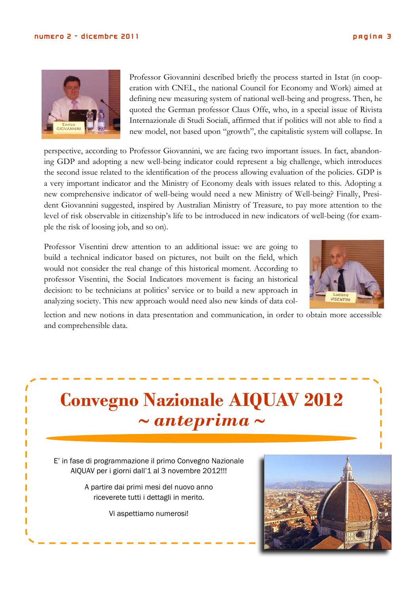

Professor Giovannini described briefly the process started in Istat (in cooperation with CNEL, the national Council for Economy and Work) aimed at defining new measuring system of national well-being and progress. Then, he quoted the German professor Claus Offe, who, in a special issue of Rivista Internazionale di Studi Sociali, affirmed that if politics will not able to find a new model, not based upon "growth", the capitalistic system will collapse. In

perspective, according to Professor Giovannini, we are facing two important issues. In fact, abandoning GDP and adopting a new well-being indicator could represent a big challenge, which introduces the second issue related to the identification of the process allowing evaluation of the policies. GDP is a very important indicator and the Ministry of Economy deals with issues related to this. Adopting a new comprehensive indicator of well-being would need a new Ministry of Well-being? Finally, President Giovannini suggested, inspired by Australian Ministry of Treasure, to pay more attention to the level of risk observable in citizenship's life to be introduced in new indicators of well-being (for example the risk of loosing job, and so on).

Professor Visentini drew attention to an additional issue: we are going to build a technical indicator based on pictures, not built on the field, which would not consider the real change of this historical moment. According to professor Visentini, the Social Indicators movement is facing an historical decision: to be technicians at politics' service or to build a new approach in analyzing society. This new approach would need also new kinds of data col-



lection and new notions in data presentation and communication, in order to obtain more accessible and comprehensible data.

# **Convegno Nazionale AIQUAV 2012**  ∼ *anteprima* ∼

E' in fase di programmazione il primo Convegno Nazionale AIQUAV per i giorni dall'1 al 3 novembre 2012!!!

> A partire dai primi mesi del nuovo anno riceverete tutti i dettagli in merito.

> > Vi aspettiamo numerosi!

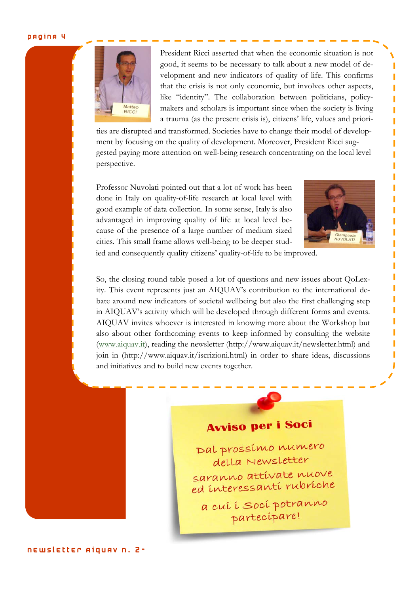#### pagina 4



President Ricci asserted that when the economic situation is not good, it seems to be necessary to talk about a new model of development and new indicators of quality of life. This confirms that the crisis is not only economic, but involves other aspects, like "identity". The collaboration between politicians, policymakers and scholars is important since when the society is living a trauma (as the present crisis is), citizens' life, values and priori-

ties are disrupted and transformed. Societies have to change their model of development by focusing on the quality of development. Moreover, President Ricci suggested paying more attention on well-being research concentrating on the local level perspective.

Professor Nuvolati pointed out that a lot of work has been done in Italy on quality-of-life research at local level with good example of data collection. In some sense, Italy is also advantaged in improving quality of life at local level because of the presence of a large number of medium sized cities. This small frame allows well-being to be deeper stud-



ied and consequently quality citizens' quality-of-life to be improved.

So, the closing round table posed a lot of questions and new issues about QoLexity. This event represents just an AIQUAV's contribution to the international debate around new indicators of societal wellbeing but also the first challenging step in AIQUAV's activity which will be developed through different forms and events. AIQUAV invites whoever is interested in knowing more about the Workshop but also about other forthcoming events to keep informed by consulting the website (www.aiquav.it), reading the newsletter (http://www.aiquav.it/newsletter.html) and join in (http://www.aiquav.it/iscrizioni.html) in order to share ideas, discussions and initiatives and to build new events together.

## **Avviso per i Soci**

Dal prossimo numero della Newsletter saranno attivate nuove ed interessanti rubriche

a cuí i soci potranno partecipare!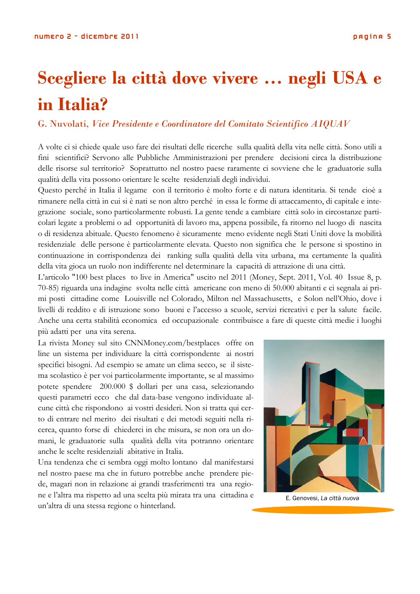# **Scegliere la città dove vivere … negli USA e in Italia?**

#### G. Nuvolati, *Vice Presidente e Coordinatore del Comitato Scientifico AIQUAV*

A volte ci si chiede quale uso fare dei risultati delle ricerche sulla qualità della vita nelle città. Sono utili a fini scientifici? Servono alle Pubbliche Amministrazioni per prendere decisioni circa la distribuzione delle risorse sul territorio? Soprattutto nel nostro paese raramente ci sovviene che le graduatorie sulla qualità della vita possono orientare le scelte residenziali degli individui.

Questo perché in Italia il legame con il territorio è molto forte e di natura identitaria. Si tende cioè a rimanere nella città in cui si è nati se non altro perché in essa le forme di attaccamento, di capitale e integrazione sociale, sono particolarmente robusti. La gente tende a cambiare città solo in circostanze particolari legate a problemi o ad opportunità di lavoro ma, appena possibile, fa ritorno nel luogo di nascita o di residenza abituale. Questo fenomeno è sicuramente meno evidente negli Stati Uniti dove la mobilità residenziale delle persone è particolarmente elevata. Questo non significa che le persone si spostino in continuazione in corrispondenza dei ranking sulla qualità della vita urbana, ma certamente la qualità della vita gioca un ruolo non indifferente nel determinare la capacità di attrazione di una città.

L'articolo "100 best places to live in America" uscito nel 2011 (Money, Sept. 2011, Vol. 40 Issue 8, p. 70-85) riguarda una indagine svolta nelle città americane con meno di 50.000 abitanti e ci segnala ai primi posti cittadine come Louisville nel Colorado, Milton nel Massachusetts, e Solon nell'Ohio, dove i livelli di reddito e di istruzione sono buoni e l'accesso a scuole, servizi ricreativi e per la salute facile. Anche una certa stabilità economica ed occupazionale contribuisce a fare di queste città medie i luoghi più adatti per una vita serena.

La rivista Money sul sito CNNMoney.com/bestplaces offre on line un sistema per individuare la città corrispondente ai nostri specifici bisogni. Ad esempio se amate un clima secco, se il sistema scolastico è per voi particolarmente importante, se al massimo potete spendere 200.000 \$ dollari per una casa, selezionando questi parametri ecco che dal data-base vengono individuate alcune città che rispondono ai vostri desideri. Non si tratta qui certo di entrare nel merito dei risultati e dei metodi seguiti nella ricerca, quanto forse di chiederci in che misura, se non ora un domani, le graduatorie sulla qualità della vita potranno orientare anche le scelte residenziali abitative in Italia.

Una tendenza che ci sembra oggi molto lontano dal manifestarsi nel nostro paese ma che in futuro potrebbe anche prendere piede, magari non in relazione ai grandi trasferimenti tra una regione e l'altra ma rispetto ad una scelta più mirata tra una cittadina e un'altra di una stessa regione o hinterland.



E. Genovesi, *La città nuova*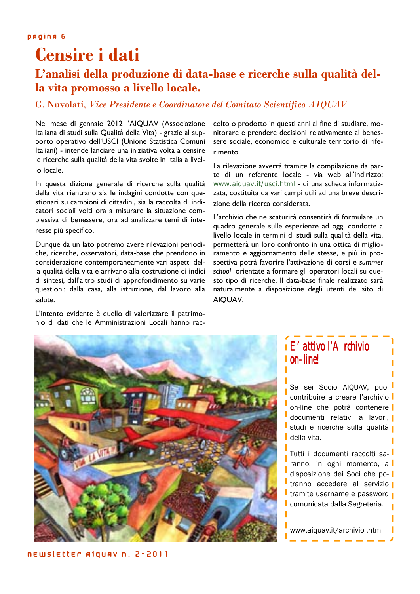## **Censire i dati**

### **L'analisi della produzione di data-base e ricerche sulla qualità della vita promosso a livello locale.**

#### G. Nuvolati, *Vice Presidente e Coordinatore del Comitato Scientifico AIQUAV*

Nel mese di gennaio 2012 l'AIQUAV (Associazione Italiana di studi sulla Qualità della Vita) - grazie al supporto operativo dell'USCI (Unione Statistica Comuni Italiani) - intende lanciare una iniziativa volta a censire le ricerche sulla qualità della vita svolte in Italia a livello locale.

In questa dizione generale di ricerche sulla qualità della vita rientrano sia le indagini condotte con questionari su campioni di cittadini, sia la raccolta di indicatori sociali volti ora a misurare la situazione complessiva di benessere, ora ad analizzare temi di interesse più specifico.

Dunque da un lato potremo avere rilevazioni periodiche, ricerche, osservatori, data-base che prendono in considerazione contemporaneamente vari aspetti della qualità della vita e arrivano alla costruzione di indici di sintesi, dall'altro studi di approfondimento su varie questioni: dalla casa, alla istruzione, dal lavoro alla salute.

L'intento evidente è quello di valorizzare il patrimonio di dati che le Amministrazioni Locali hanno raccolto o prodotto in questi anni al fine di studiare, monitorare e prendere decisioni relativamente al benessere sociale, economico e culturale territorio di riferimento.

La rilevazione avverrà tramite la compilazione da parte di un referente locale - via web all'indirizzo: www.aiquav.it/usci.html - di una scheda informatizzata, costituita da vari campi utili ad una breve descrizione della ricerca considerata.

L'archivio che ne scaturirà consentirà di formulare un quadro generale sulle esperienze ad oggi condotte a livello locale in termini di studi sulla qualità della vita, permetterà un loro confronto in una ottica di miglioramento e aggiornamento delle stesse, e più in prospettiva potrà favorire l'attivazione di corsi e *summer school* orientate a formare gli operatori locali su questo tipo di ricerche. Il data-base finale realizzato sarà naturalmente a disposizione degli utenti del sito di AIQUAV.



### E' attivo l'Archivio on-line!

Se sei Socio AIQUAV, puoi contribuire a creare l'archivio l on-line che potrà contenere documenti relativi a lavori, studi e ricerche sulla qualità p della vita.

Tutti i documenti raccolti saranno, in ogni momento, a disposizione dei Soci che potranno accedere al servizio la tramite username e password comunicata dalla Segreteria.

www.aiquav.it/archivio .html